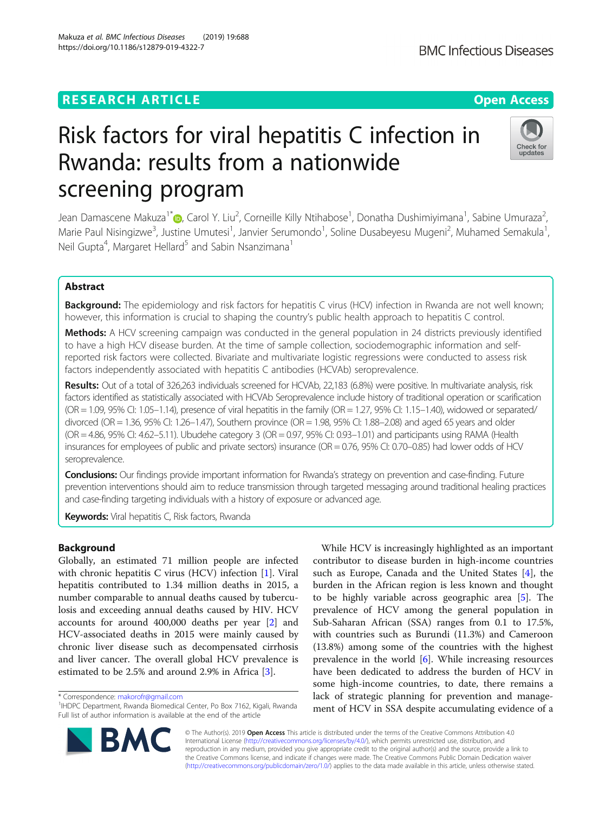## **RESEARCH ARTICLE Example 2018 12:30 THE Open Access**

# Risk factors for viral hepatitis C infection in Rwanda: results from a nationwide screening program

Jean Damascene Makuza<sup>1[\\*](http://orcid.org/0000-0001-9275-8844)</sup>®, Carol Y. Liu<sup>2</sup>, Corneille Killy Ntihabose<sup>1</sup>, Donatha Dushimiyimana<sup>1</sup>, Sabine Umuraza<sup>2</sup> , Marie Paul Nisingizwe<sup>3</sup>, Justine Umutesi<sup>1</sup>, Janvier Serumondo<sup>1</sup>, Soline Dusabeyesu Mugeni<sup>2</sup>, Muhamed Semakula<sup>1</sup> , Neil Gupta<sup>4</sup>, Margaret Hellard<sup>5</sup> and Sabin Nsanzimana<sup>1</sup>

## Abstract

Background: The epidemiology and risk factors for hepatitis C virus (HCV) infection in Rwanda are not well known; however, this information is crucial to shaping the country's public health approach to hepatitis C control.

**Methods:** A HCV screening campaign was conducted in the general population in 24 districts previously identified to have a high HCV disease burden. At the time of sample collection, sociodemographic information and selfreported risk factors were collected. Bivariate and multivariate logistic regressions were conducted to assess risk factors independently associated with hepatitis C antibodies (HCVAb) seroprevalence.

Results: Out of a total of 326,263 individuals screened for HCVAb, 22,183 (6.8%) were positive. In multivariate analysis, risk factors identified as statistically associated with HCVAb Seroprevalence include history of traditional operation or scarification  $(OR = 1.09, 95\%$  CI: 1.05–1.14), presence of viral hepatitis in the family  $(OR = 1.27, 95\%$  CI: 1.15–1.40), widowed or separated/ divorced (OR = 1.36, 95% CI: 1.26–1.47), Southern province (OR = 1.98, 95% CI: 1.88–2.08) and aged 65 years and older (OR = 4.86, 95% CI: 4.62–5.11). Ubudehe category 3 (OR = 0.97, 95% CI: 0.93–1.01) and participants using RAMA (Health insurances for employees of public and private sectors) insurance (OR = 0.76, 95% CI: 0.70–0.85) had lower odds of HCV seroprevalence.

Conclusions: Our findings provide important information for Rwanda's strategy on prevention and case-finding. Future prevention interventions should aim to reduce transmission through targeted messaging around traditional healing practices and case-finding targeting individuals with a history of exposure or advanced age.

Keywords: Viral hepatitis C, Risk factors, Rwanda

## Background

Globally, an estimated 71 million people are infected with chronic hepatitis C virus (HCV) infection [\[1\]](#page-8-0). Viral hepatitis contributed to 1.34 million deaths in 2015, a number comparable to annual deaths caused by tuberculosis and exceeding annual deaths caused by HIV. HCV accounts for around 400,000 deaths per year [\[2](#page-8-0)] and HCV-associated deaths in 2015 were mainly caused by chronic liver disease such as decompensated cirrhosis and liver cancer. The overall global HCV prevalence is estimated to be 2.5% and around 2.9% in Africa [[3\]](#page-8-0).

\* Correspondence: [makorofr@gmail.com](mailto:makorofr@gmail.com) <sup>1</sup>

<sup>1</sup> IHDPC Department, Rwanda Biomedical Center, Po Box 7162, Kigali, Rwanda Full list of author information is available at the end of the article

© The Author(s). 2019 **Open Access** This article is distributed under the terms of the Creative Commons Attribution 4.0 International License [\(http://creativecommons.org/licenses/by/4.0/](http://creativecommons.org/licenses/by/4.0/)), which permits unrestricted use, distribution, and reproduction in any medium, provided you give appropriate credit to the original author(s) and the source, provide a link to the Creative Commons license, and indicate if changes were made. The Creative Commons Public Domain Dedication waiver [\(http://creativecommons.org/publicdomain/zero/1.0/](http://creativecommons.org/publicdomain/zero/1.0/)) applies to the data made available in this article, unless otherwise stated.

contributor to disease burden in high-income countries such as Europe, Canada and the United States [\[4](#page-8-0)], the burden in the African region is less known and thought to be highly variable across geographic area [[5\]](#page-8-0). The prevalence of HCV among the general population in Sub-Saharan African (SSA) ranges from 0.1 to 17.5%, with countries such as Burundi (11.3%) and Cameroon (13.8%) among some of the countries with the highest prevalence in the world [[6\]](#page-8-0). While increasing resources have been dedicated to address the burden of HCV in some high-income countries, to date, there remains a lack of strategic planning for prevention and management of HCV in SSA despite accumulating evidence of a

While HCV is increasingly highlighted as an important



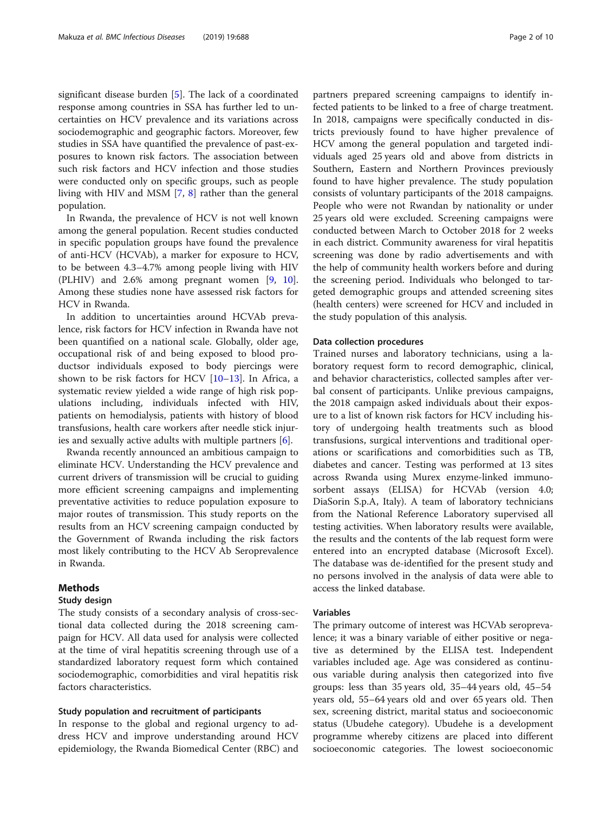significant disease burden [[5\]](#page-8-0). The lack of a coordinated response among countries in SSA has further led to uncertainties on HCV prevalence and its variations across sociodemographic and geographic factors. Moreover, few studies in SSA have quantified the prevalence of past-exposures to known risk factors. The association between such risk factors and HCV infection and those studies were conducted only on specific groups, such as people living with HIV and MSM [[7,](#page-8-0) [8](#page-8-0)] rather than the general population.

In Rwanda, the prevalence of HCV is not well known among the general population. Recent studies conducted in specific population groups have found the prevalence of anti-HCV (HCVAb), a marker for exposure to HCV, to be between 4.3–4.7% among people living with HIV (PLHIV) and 2.6% among pregnant women [[9,](#page-9-0) [10](#page-9-0)]. Among these studies none have assessed risk factors for HCV in Rwanda.

In addition to uncertainties around HCVAb prevalence, risk factors for HCV infection in Rwanda have not been quantified on a national scale. Globally, older age, occupational risk of and being exposed to blood productsor individuals exposed to body piercings were shown to be risk factors for HCV [\[10](#page-9-0)–[13\]](#page-9-0). In Africa, a systematic review yielded a wide range of high risk populations including, individuals infected with HIV, patients on hemodialysis, patients with history of blood transfusions, health care workers after needle stick injuries and sexually active adults with multiple partners [[6\]](#page-8-0).

Rwanda recently announced an ambitious campaign to eliminate HCV. Understanding the HCV prevalence and current drivers of transmission will be crucial to guiding more efficient screening campaigns and implementing preventative activities to reduce population exposure to major routes of transmission. This study reports on the results from an HCV screening campaign conducted by the Government of Rwanda including the risk factors most likely contributing to the HCV Ab Seroprevalence in Rwanda.

## Methods

## Study design

The study consists of a secondary analysis of cross-sectional data collected during the 2018 screening campaign for HCV. All data used for analysis were collected at the time of viral hepatitis screening through use of a standardized laboratory request form which contained sociodemographic, comorbidities and viral hepatitis risk factors characteristics.

#### Study population and recruitment of participants

In response to the global and regional urgency to address HCV and improve understanding around HCV epidemiology, the Rwanda Biomedical Center (RBC) and partners prepared screening campaigns to identify infected patients to be linked to a free of charge treatment. In 2018, campaigns were specifically conducted in districts previously found to have higher prevalence of HCV among the general population and targeted individuals aged 25 years old and above from districts in Southern, Eastern and Northern Provinces previously found to have higher prevalence. The study population consists of voluntary participants of the 2018 campaigns. People who were not Rwandan by nationality or under 25 years old were excluded. Screening campaigns were conducted between March to October 2018 for 2 weeks in each district. Community awareness for viral hepatitis screening was done by radio advertisements and with the help of community health workers before and during the screening period. Individuals who belonged to targeted demographic groups and attended screening sites (health centers) were screened for HCV and included in the study population of this analysis.

## Data collection procedures

Trained nurses and laboratory technicians, using a laboratory request form to record demographic, clinical, and behavior characteristics, collected samples after verbal consent of participants. Unlike previous campaigns, the 2018 campaign asked individuals about their exposure to a list of known risk factors for HCV including history of undergoing health treatments such as blood transfusions, surgical interventions and traditional operations or scarifications and comorbidities such as TB, diabetes and cancer. Testing was performed at 13 sites across Rwanda using Murex enzyme-linked immunosorbent assays (ELISA) for HCVAb (version 4.0; DiaSorin S.p.A, Italy). A team of laboratory technicians from the National Reference Laboratory supervised all testing activities. When laboratory results were available, the results and the contents of the lab request form were entered into an encrypted database (Microsoft Excel). The database was de-identified for the present study and no persons involved in the analysis of data were able to access the linked database.

## Variables

The primary outcome of interest was HCVAb seroprevalence; it was a binary variable of either positive or negative as determined by the ELISA test. Independent variables included age. Age was considered as continuous variable during analysis then categorized into five groups: less than 35 years old, 35–44 years old, 45–54 years old, 55–64 years old and over 65 years old. Then sex, screening district, marital status and socioeconomic status (Ubudehe category). Ubudehe is a development programme whereby citizens are placed into different socioeconomic categories. The lowest socioeconomic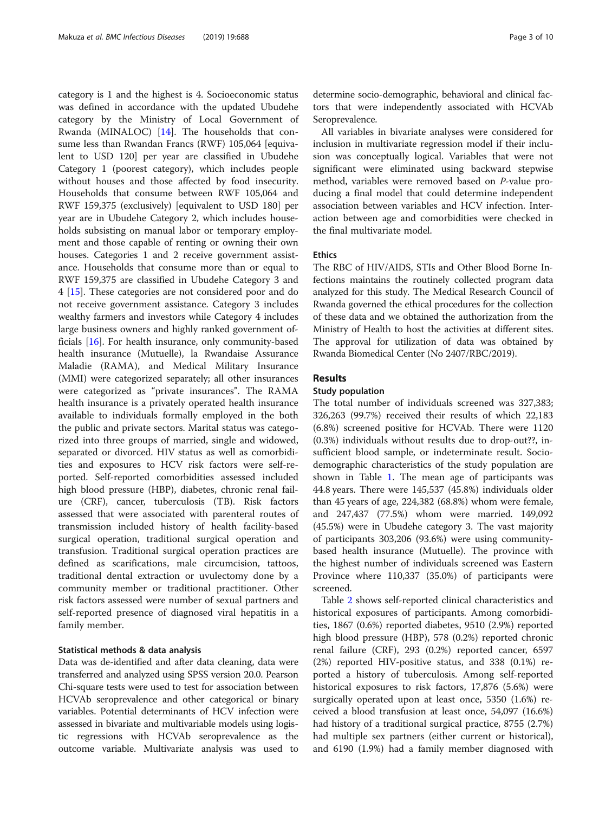category is 1 and the highest is 4. Socioeconomic status was defined in accordance with the updated Ubudehe category by the Ministry of Local Government of Rwanda (MINALOC) [\[14](#page-9-0)]. The households that consume less than Rwandan Francs (RWF) 105,064 [equivalent to USD 120] per year are classified in Ubudehe Category 1 (poorest category), which includes people without houses and those affected by food insecurity. Households that consume between RWF 105,064 and RWF 159,375 (exclusively) [equivalent to USD 180] per year are in Ubudehe Category 2, which includes households subsisting on manual labor or temporary employment and those capable of renting or owning their own houses. Categories 1 and 2 receive government assistance. Households that consume more than or equal to RWF 159,375 are classified in Ubudehe Category 3 and 4 [\[15](#page-9-0)]. These categories are not considered poor and do not receive government assistance. Category 3 includes wealthy farmers and investors while Category 4 includes large business owners and highly ranked government officials [\[16](#page-9-0)]. For health insurance, only community-based health insurance (Mutuelle), la Rwandaise Assurance Maladie (RAMA), and Medical Military Insurance (MMI) were categorized separately; all other insurances were categorized as "private insurances". The RAMA health insurance is a privately operated health insurance available to individuals formally employed in the both the public and private sectors. Marital status was categorized into three groups of married, single and widowed, separated or divorced. HIV status as well as comorbidities and exposures to HCV risk factors were self-reported. Self-reported comorbidities assessed included high blood pressure (HBP), diabetes, chronic renal failure (CRF), cancer, tuberculosis (TB). Risk factors assessed that were associated with parenteral routes of transmission included history of health facility-based surgical operation, traditional surgical operation and transfusion. Traditional surgical operation practices are defined as scarifications, male circumcision, tattoos, traditional dental extraction or uvulectomy done by a community member or traditional practitioner. Other risk factors assessed were number of sexual partners and self-reported presence of diagnosed viral hepatitis in a family member.

## Statistical methods & data analysis

Data was de-identified and after data cleaning, data were transferred and analyzed using SPSS version 20.0. Pearson Chi-square tests were used to test for association between HCVAb seroprevalence and other categorical or binary variables. Potential determinants of HCV infection were assessed in bivariate and multivariable models using logistic regressions with HCVAb seroprevalence as the outcome variable. Multivariate analysis was used to

determine socio-demographic, behavioral and clinical factors that were independently associated with HCVAb Seroprevalence.

All variables in bivariate analyses were considered for inclusion in multivariate regression model if their inclusion was conceptually logical. Variables that were not significant were eliminated using backward stepwise method, variables were removed based on P-value producing a final model that could determine independent association between variables and HCV infection. Interaction between age and comorbidities were checked in the final multivariate model.

## Ethics

The RBC of HIV/AIDS, STIs and Other Blood Borne Infections maintains the routinely collected program data analyzed for this study. The Medical Research Council of Rwanda governed the ethical procedures for the collection of these data and we obtained the authorization from the Ministry of Health to host the activities at different sites. The approval for utilization of data was obtained by Rwanda Biomedical Center (No 2407/RBC/2019).

## Results

## Study population

The total number of individuals screened was 327,383; 326,263 (99.7%) received their results of which 22,183 (6.8%) screened positive for HCVAb. There were 1120 (0.3%) individuals without results due to drop-out??, insufficient blood sample, or indeterminate result. Sociodemographic characteristics of the study population are shown in Table [1.](#page-3-0) The mean age of participants was 44.8 years. There were 145,537 (45.8%) individuals older than 45 years of age, 224,382 (68.8%) whom were female, and 247,437 (77.5%) whom were married. 149,092 (45.5%) were in Ubudehe category 3. The vast majority of participants 303,206 (93.6%) were using communitybased health insurance (Mutuelle). The province with the highest number of individuals screened was Eastern Province where 110,337 (35.0%) of participants were screened.

Table [2](#page-4-0) shows self-reported clinical characteristics and historical exposures of participants. Among comorbidities, 1867 (0.6%) reported diabetes, 9510 (2.9%) reported high blood pressure (HBP), 578 (0.2%) reported chronic renal failure (CRF), 293 (0.2%) reported cancer, 6597 (2%) reported HIV-positive status, and 338 (0.1%) reported a history of tuberculosis. Among self-reported historical exposures to risk factors, 17,876 (5.6%) were surgically operated upon at least once, 5350 (1.6%) received a blood transfusion at least once, 54,097 (16.6%) had history of a traditional surgical practice, 8755 (2.7%) had multiple sex partners (either current or historical), and 6190 (1.9%) had a family member diagnosed with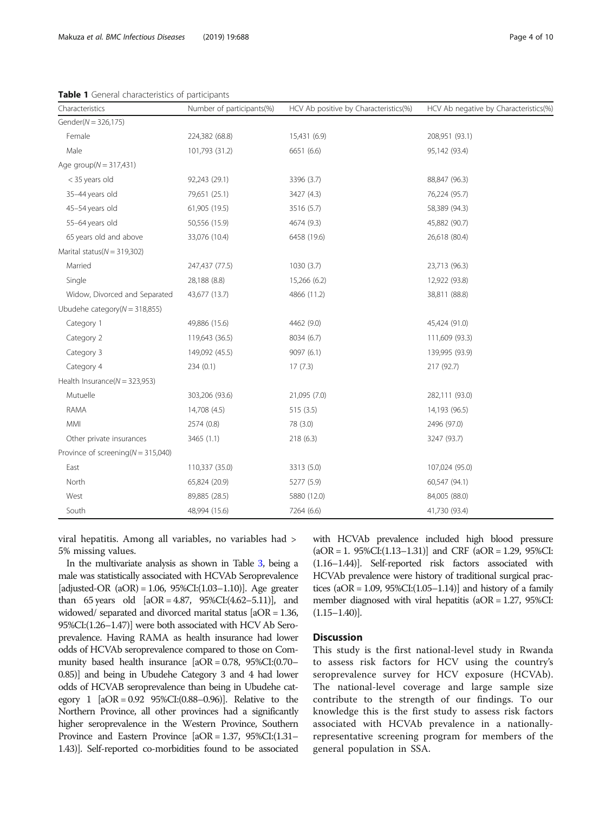| Characteristics                       | Number of participants(%)<br>HCV Ab positive by Characteristics(%) |              | HCV Ab negative by Characteristics(%) |  |  |
|---------------------------------------|--------------------------------------------------------------------|--------------|---------------------------------------|--|--|
| Gender( $N = 326,175$ )               |                                                                    |              |                                       |  |  |
| Female                                | 224,382 (68.8)                                                     | 15,431 (6.9) | 208,951 (93.1)                        |  |  |
| Male                                  | 101,793 (31.2)                                                     | 6651 (6.6)   | 95,142 (93.4)                         |  |  |
| Age group( $N = 317,431$ )            |                                                                    |              |                                       |  |  |
| < 35 years old                        | 92,243 (29.1)                                                      | 3396 (3.7)   | 88,847 (96.3)                         |  |  |
| 35-44 years old                       | 79,651 (25.1)                                                      | 3427 (4.3)   | 76,224 (95.7)                         |  |  |
| 45-54 years old                       | 61,905 (19.5)                                                      | 3516 (5.7)   | 58,389 (94.3)                         |  |  |
| 55-64 years old                       | 50,556 (15.9)                                                      | 4674 (9.3)   | 45,882 (90.7)                         |  |  |
| 65 years old and above                | 33,076 (10.4)                                                      | 6458 (19.6)  | 26,618 (80.4)                         |  |  |
| Marital status( $N = 319,302$ )       |                                                                    |              |                                       |  |  |
| Married                               | 247,437 (77.5)                                                     | 1030 (3.7)   | 23,713 (96.3)                         |  |  |
| Single                                | 28,188 (8.8)                                                       | 15,266 (6.2) | 12,922 (93.8)                         |  |  |
| Widow, Divorced and Separated         | 43,677 (13.7)                                                      | 4866 (11.2)  | 38,811 (88.8)                         |  |  |
| Ubudehe category( $N = 318,855$ )     |                                                                    |              |                                       |  |  |
| Category 1                            | 49,886 (15.6)                                                      | 4462 (9.0)   | 45,424 (91.0)                         |  |  |
| Category 2                            | 119,643 (36.5)                                                     | 8034 (6.7)   | 111,609 (93.3)                        |  |  |
| Category 3                            | 149,092 (45.5)                                                     | 9097 (6.1)   | 139,995 (93.9)                        |  |  |
| Category 4                            | 234(0.1)                                                           | 17(7.3)      | 217 (92.7)                            |  |  |
| Health Insurance( $N = 323,953$ )     |                                                                    |              |                                       |  |  |
| Mutuelle                              | 303,206 (93.6)                                                     | 21,095 (7.0) | 282,111 (93.0)                        |  |  |
| RAMA                                  | 14,708 (4.5)                                                       | 515(3.5)     | 14,193 (96.5)                         |  |  |
| MMI                                   | 2574 (0.8)                                                         | 78 (3.0)     | 2496 (97.0)                           |  |  |
| Other private insurances              | 3465 (1.1)                                                         | 218(6.3)     | 3247 (93.7)                           |  |  |
| Province of screening $(N = 315,040)$ |                                                                    |              |                                       |  |  |
| East                                  | 110,337 (35.0)                                                     | 3313 (5.0)   | 107,024 (95.0)                        |  |  |
| North                                 | 65,824 (20.9)                                                      | 5277 (5.9)   | 60,547 (94.1)                         |  |  |
| West                                  | 89,885 (28.5)                                                      | 5880 (12.0)  | 84,005 (88.0)                         |  |  |
| South                                 | 48,994 (15.6)                                                      | 7264 (6.6)   | 41,730 (93.4)                         |  |  |

<span id="page-3-0"></span>Table 1 General characteristics of participants

viral hepatitis. Among all variables, no variables had > 5% missing values.

In the multivariate analysis as shown in Table [3,](#page-5-0) being a male was statistically associated with HCVAb Seroprevalence [adjusted-OR  $(aOR) = 1.06$ ,  $95\%CI:(1.03-1.10)$ ]. Age greater than 65 years old  $[aOR = 4.87, 95\% CI:(4.62-5.11)],$  and widowed/ separated and divorced marital status [aOR = 1.36, 95%CI:(1.26–1.47)] were both associated with HCV Ab Seroprevalence. Having RAMA as health insurance had lower odds of HCVAb seroprevalence compared to those on Community based health insurance [aOR = 0.78, 95%CI:(0.70– 0.85)] and being in Ubudehe Category 3 and 4 had lower odds of HCVAB seroprevalence than being in Ubudehe category 1 [aOR = 0.92 95%CI:(0.88–0.96)]. Relative to the Northern Province, all other provinces had a significantly higher seroprevalence in the Western Province, Southern Province and Eastern Province [aOR = 1.37, 95%CI:(1.31– 1.43)]. Self-reported co-morbidities found to be associated with HCVAb prevalence included high blood pressure  $(aOR = 1.95\% CI:(1.13-1.31)]$  and CRF  $(aOR = 1.29, 95\% CI:$ (1.16–1.44)]. Self-reported risk factors associated with HCVAb prevalence were history of traditional surgical practices ( $aOR = 1.09$ ,  $95\%CI:(1.05-1.14)$ ] and history of a family member diagnosed with viral hepatitis (aOR = 1.27, 95%CI:  $(1.15-1.40)$ ].

## **Discussion**

This study is the first national-level study in Rwanda to assess risk factors for HCV using the country's seroprevalence survey for HCV exposure (HCVAb). The national-level coverage and large sample size contribute to the strength of our findings. To our knowledge this is the first study to assess risk factors associated with HCVAb prevalence in a nationallyrepresentative screening program for members of the general population in SSA.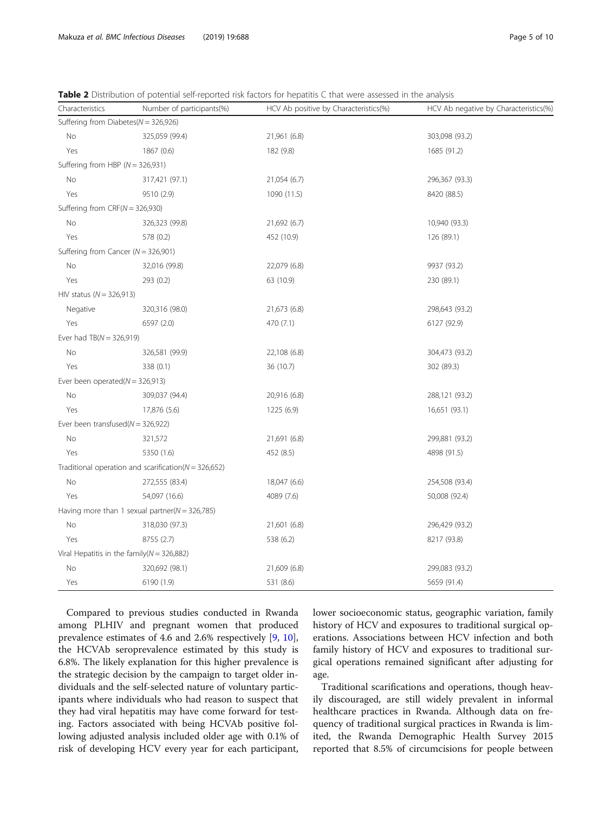<span id="page-4-0"></span>

| <b>Table 2</b> Distribution of potential self-reported risk factors for hepatitis C that were assessed in the analysis |  |
|------------------------------------------------------------------------------------------------------------------------|--|
|------------------------------------------------------------------------------------------------------------------------|--|

| Characteristics                          | Number of participants(%)                                | HCV Ab positive by Characteristics(%) | HCV Ab negative by Characteristics(%) |
|------------------------------------------|----------------------------------------------------------|---------------------------------------|---------------------------------------|
| Suffering from Diabetes( $N = 326,926$ ) |                                                          |                                       |                                       |
| No                                       | 325,059 (99.4)                                           | 21,961 (6.8)                          | 303,098 (93.2)                        |
| Yes                                      | 1867 (0.6)                                               | 182 (9.8)                             | 1685 (91.2)                           |
| Suffering from HBP ( $N = 326,931$ )     |                                                          |                                       |                                       |
| No                                       | 317,421 (97.1)                                           | 21,054 (6.7)                          | 296,367 (93.3)                        |
| Yes                                      | 9510 (2.9)                                               | 1090 (11.5)                           | 8420 (88.5)                           |
| Suffering from $CRF(N = 326,930)$        |                                                          |                                       |                                       |
| No                                       | 326,323 (99.8)                                           | 21,692 (6.7)                          | 10,940 (93.3)                         |
| Yes                                      | 578 (0.2)                                                | 452 (10.9)                            | 126 (89.1)                            |
| Suffering from Cancer ( $N = 326,901$ )  |                                                          |                                       |                                       |
| No                                       | 32,016 (99.8)                                            | 22,079 (6.8)                          | 9937 (93.2)                           |
| Yes                                      | 293 (0.2)                                                | 63 (10.9)                             | 230 (89.1)                            |
| $HIV$ status ( $N = 326,913$ )           |                                                          |                                       |                                       |
| Negative                                 | 320,316 (98.0)                                           | 21,673 (6.8)                          | 298,643 (93.2)                        |
| Yes                                      | 6597 (2.0)                                               | 470 (7.1)                             | 6127 (92.9)                           |
| Ever had $TB(N = 326,919)$               |                                                          |                                       |                                       |
| No                                       | 326,581 (99.9)                                           | 22,108 (6.8)                          | 304,473 (93.2)                        |
| Yes                                      | 338 (0.1)                                                | 36 (10.7)                             | 302 (89.3)                            |
| Ever been operated( $N = 326,913$ )      |                                                          |                                       |                                       |
| No                                       | 309,037 (94.4)                                           | 20,916 (6.8)                          | 288,121 (93.2)                        |
| Yes                                      | 17,876 (5.6)                                             | 1225 (6.9)                            | 16,651 (93.1)                         |
| Ever been transfused( $N = 326,922$ )    |                                                          |                                       |                                       |
| No                                       | 321,572                                                  | 21,691 (6.8)                          | 299,881 (93.2)                        |
| Yes                                      | 5350 (1.6)                                               | 452 (8.5)                             | 4898 (91.5)                           |
|                                          | Traditional operation and scarification( $N = 326,652$ ) |                                       |                                       |
| No                                       | 272,555 (83.4)                                           | 18,047 (6.6)                          | 254,508 (93.4)                        |
| Yes                                      | 54,097 (16.6)                                            | 4089 (7.6)                            | 50,008 (92.4)                         |
|                                          | Having more than 1 sexual partner( $N = 326,785$ )       |                                       |                                       |
| No                                       | 318,030 (97.3)                                           | 21,601 (6.8)                          | 296,429 (93.2)                        |
| Yes                                      | 8755 (2.7)                                               | 538 (6.2)                             | 8217 (93.8)                           |
|                                          | Viral Hepatitis in the family $(N = 326,882)$            |                                       |                                       |
| No                                       | 320,692 (98.1)                                           | 21,609 (6.8)                          | 299,083 (93.2)                        |
| Yes                                      | 6190 (1.9)                                               | 531 (8.6)                             | 5659 (91.4)                           |

Compared to previous studies conducted in Rwanda among PLHIV and pregnant women that produced prevalence estimates of 4.6 and 2.6% respectively [\[9](#page-9-0), [10](#page-9-0)], the HCVAb seroprevalence estimated by this study is 6.8%. The likely explanation for this higher prevalence is the strategic decision by the campaign to target older individuals and the self-selected nature of voluntary participants where individuals who had reason to suspect that they had viral hepatitis may have come forward for testing. Factors associated with being HCVAb positive following adjusted analysis included older age with 0.1% of risk of developing HCV every year for each participant, lower socioeconomic status, geographic variation, family history of HCV and exposures to traditional surgical operations. Associations between HCV infection and both family history of HCV and exposures to traditional surgical operations remained significant after adjusting for age.

Traditional scarifications and operations, though heavily discouraged, are still widely prevalent in informal healthcare practices in Rwanda. Although data on frequency of traditional surgical practices in Rwanda is limited, the Rwanda Demographic Health Survey 2015 reported that 8.5% of circumcisions for people between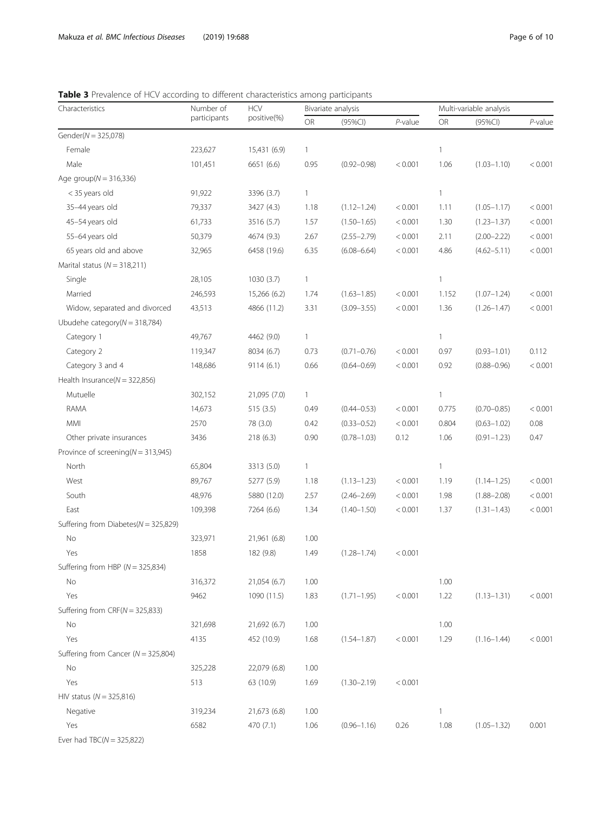## <span id="page-5-0"></span>Table 3 Prevalence of HCV according to different characteristics among participants

| Characteristics                          | Number of<br>participants | $\ensuremath{\mathsf{HCV}}$<br>positive(%) | Bivariate analysis |                 |            | Multi-variable analysis  |                 |            |
|------------------------------------------|---------------------------|--------------------------------------------|--------------------|-----------------|------------|--------------------------|-----------------|------------|
|                                          |                           |                                            | OR                 | $(95\%CI)$      | $P$ -value | OR                       | (95%CI)         | $P$ -value |
| Gender( $N = 325,078$ )                  |                           |                                            |                    |                 |            |                          |                 |            |
| Female                                   | 223,627                   | 15,431 (6.9)                               | $\mathbf{1}$       |                 |            | $\mathbf{1}$             |                 |            |
| Male                                     | 101,451                   | 6651 (6.6)                                 | 0.95               | $(0.92 - 0.98)$ | < 0.001    | 1.06                     | $(1.03 - 1.10)$ | < 0.001    |
| Age group( $N = 316,336$ )               |                           |                                            |                    |                 |            |                          |                 |            |
| < 35 years old                           | 91,922                    | 3396 (3.7)                                 | $\mathbf{1}$       |                 |            | $\mathbf{1}$             |                 |            |
| 35-44 years old                          | 79,337                    | 3427 (4.3)                                 | 1.18               | $(1.12 - 1.24)$ | < 0.001    | 1.11                     | $(1.05 - 1.17)$ | < 0.001    |
| 45-54 years old                          | 61,733                    | 3516 (5.7)                                 | 1.57               | $(1.50 - 1.65)$ | < 0.001    | 1.30                     | $(1.23 - 1.37)$ | < 0.001    |
| 55-64 years old                          | 50,379                    | 4674 (9.3)                                 | 2.67               | $(2.55 - 2.79)$ | < 0.001    | 2.11                     | $(2.00 - 2.22)$ | < 0.001    |
| 65 years old and above                   | 32,965                    | 6458 (19.6)                                | 6.35               | $(6.08 - 6.64)$ | < 0.001    | 4.86                     | $(4.62 - 5.11)$ | < 0.001    |
| Marital status ( $N = 318,211$ )         |                           |                                            |                    |                 |            |                          |                 |            |
| Single                                   | 28,105                    | 1030 (3.7)                                 | $\mathbf{1}$       |                 |            | $\mathbf{1}$             |                 |            |
| Married                                  | 246,593                   | 15,266 (6.2)                               | 1.74               | $(1.63 - 1.85)$ | < 0.001    | 1.152                    | $(1.07 - 1.24)$ | < 0.001    |
| Widow, separated and divorced            | 43,513                    | 4866 (11.2)                                | 3.31               | $(3.09 - 3.55)$ | < 0.001    | 1.36                     | $(1.26 - 1.47)$ | < 0.001    |
| Ubudehe category( $N = 318,784$ )        |                           |                                            |                    |                 |            |                          |                 |            |
| Category 1                               | 49,767                    | 4462 (9.0)                                 | $\mathbf{1}$       |                 |            | $\mathbf{1}$             |                 |            |
| Category 2                               | 119,347                   | 8034 (6.7)                                 | 0.73               | $(0.71 - 0.76)$ | < 0.001    | 0.97                     | $(0.93 - 1.01)$ | 0.112      |
| Category 3 and 4                         | 148,686                   | 9114(6.1)                                  | 0.66               | $(0.64 - 0.69)$ | < 0.001    | 0.92                     | $(0.88 - 0.96)$ | < 0.001    |
| Health Insurance( $N = 322,856$ )        |                           |                                            |                    |                 |            |                          |                 |            |
| Mutuelle                                 | 302,152                   | 21,095 (7.0)                               | 1                  |                 |            | $\mathbf{1}$             |                 |            |
| <b>RAMA</b>                              | 14,673                    | 515 (3.5)                                  | 0.49               | $(0.44 - 0.53)$ | < 0.001    | 0.775                    | $(0.70 - 0.85)$ | < 0.001    |
| MMI                                      | 2570                      | 78 (3.0)                                   | 0.42               | $(0.33 - 0.52)$ | < 0.001    | 0.804                    | $(0.63 - 1.02)$ | 0.08       |
| Other private insurances                 | 3436                      | 218 (6.3)                                  | 0.90               | $(0.78 - 1.03)$ | 0.12       | 1.06                     | $(0.91 - 1.23)$ | 0.47       |
| Province of screening( $N = 313,945$ )   |                           |                                            |                    |                 |            |                          |                 |            |
| North                                    | 65,804                    | 3313 (5.0)                                 | 1                  |                 |            | 1                        |                 |            |
| West                                     | 89,767                    | 5277 (5.9)                                 | 1.18               | $(1.13 - 1.23)$ | < 0.001    | 1.19                     | $(1.14 - 1.25)$ | < 0.001    |
| South                                    | 48,976                    | 5880 (12.0)                                | 2.57               | $(2.46 - 2.69)$ | < 0.001    | 1.98                     | $(1.88 - 2.08)$ | < 0.001    |
| East                                     | 109,398                   | 7264 (6.6)                                 | 1.34               | $(1.40 - 1.50)$ | < 0.001    | 1.37                     | $(1.31 - 1.43)$ | < 0.001    |
| Suffering from Diabetes( $N = 325,829$ ) |                           |                                            |                    |                 |            |                          |                 |            |
| No                                       | 323,971                   | 21,961 (6.8)                               | 1.00               |                 |            |                          |                 |            |
| Yes                                      | 1858                      | 182 (9.8)                                  | 1.49               | $(1.28 - 1.74)$ | < 0.001    |                          |                 |            |
| Suffering from HBP ( $N = 325,834$ )     |                           |                                            |                    |                 |            |                          |                 |            |
| No                                       | 316,372                   | 21,054 (6.7)                               | 1.00               |                 |            | 1.00                     |                 |            |
| Yes                                      | 9462                      | 1090 (11.5)                                | 1.83               | $(1.71 - 1.95)$ | < 0.001    | 1.22                     | $(1.13 - 1.31)$ | < 0.001    |
| Suffering from $CRF(N = 325,833)$        |                           |                                            |                    |                 |            |                          |                 |            |
| No                                       | 321,698                   | 21,692 (6.7)                               | 1.00               |                 |            | 1.00                     |                 |            |
| Yes                                      | 4135                      | 452 (10.9)                                 | 1.68               | $(1.54 - 1.87)$ | < 0.001    | 1.29                     | $(1.16 - 1.44)$ | < 0.001    |
| Suffering from Cancer ( $N = 325,804$ )  |                           |                                            |                    |                 |            |                          |                 |            |
| No                                       | 325,228                   | 22,079 (6.8)                               | 1.00               |                 |            |                          |                 |            |
| Yes                                      | 513                       | 63 (10.9)                                  | 1.69               | $(1.30 - 2.19)$ | < 0.001    |                          |                 |            |
| HIV status ( $N = 325,816$ )             |                           |                                            |                    |                 |            |                          |                 |            |
| Negative                                 | 319,234                   | 21,673 (6.8)                               | 1.00               |                 |            | $\overline{\phantom{a}}$ |                 |            |
| Yes                                      | 6582                      | 470 (7.1)                                  | 1.06               | $(0.96 - 1.16)$ | 0.26       | 1.08                     | $(1.05 - 1.32)$ | 0.001      |
| Ever had $TBC(N = 325,822)$              |                           |                                            |                    |                 |            |                          |                 |            |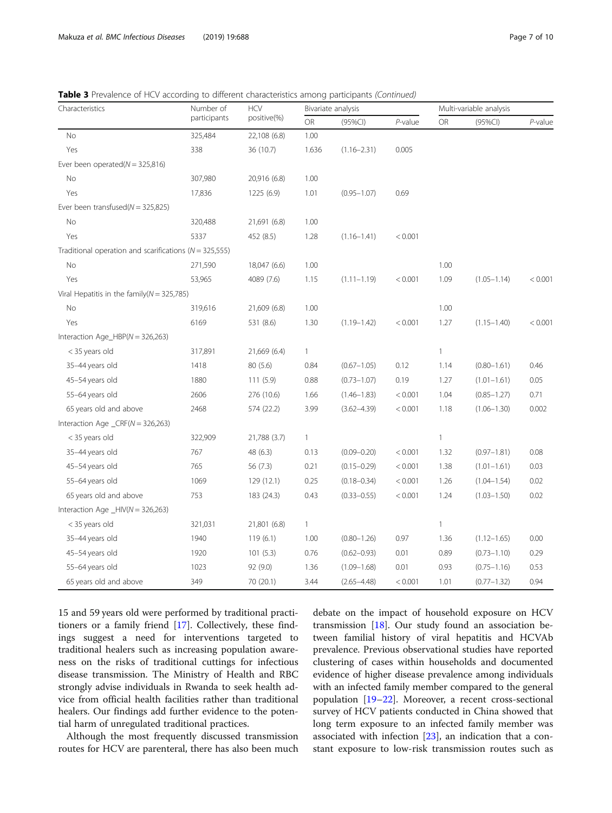Table 3 Prevalence of HCV according to different characteristics among participants (Continued)

| Characteristics                                            | Number of    | <b>HCV</b><br>positive(%) | Bivariate analysis |                 |            | Multi-variable analysis |                 |         |
|------------------------------------------------------------|--------------|---------------------------|--------------------|-----------------|------------|-------------------------|-----------------|---------|
|                                                            | participants |                           | OR                 | $(95\%CI)$      | $P$ -value | OR                      | (95%Cl)         | P-value |
| No                                                         | 325,484      | 22,108 (6.8)              | $1.00\,$           |                 |            |                         |                 |         |
| Yes                                                        | 338          | 36 (10.7)                 | 1.636              | $(1.16 - 2.31)$ | 0.005      |                         |                 |         |
| Ever been operated( $N = 325,816$ )                        |              |                           |                    |                 |            |                         |                 |         |
| No                                                         | 307,980      | 20,916 (6.8)              | 1.00               |                 |            |                         |                 |         |
| Yes                                                        | 17,836       | 1225 (6.9)                | 1.01               | $(0.95 - 1.07)$ | 0.69       |                         |                 |         |
| Ever been transfused( $N = 325,825$ )                      |              |                           |                    |                 |            |                         |                 |         |
| No                                                         | 320,488      | 21,691 (6.8)              | $1.00\,$           |                 |            |                         |                 |         |
| Yes                                                        | 5337         | 452 (8.5)                 | 1.28               | $(1.16 - 1.41)$ | < 0.001    |                         |                 |         |
| Traditional operation and scarifications ( $N = 325,555$ ) |              |                           |                    |                 |            |                         |                 |         |
| No                                                         | 271,590      | 18,047 (6.6)              | 1.00               |                 |            | 1.00                    |                 |         |
| Yes                                                        | 53,965       | 4089 (7.6)                | 1.15               | $(1.11 - 1.19)$ | < 0.001    | 1.09                    | $(1.05 - 1.14)$ | < 0.001 |
| Viral Hepatitis in the family $(N = 325,785)$              |              |                           |                    |                 |            |                         |                 |         |
| No                                                         | 319,616      | 21,609 (6.8)              | $1.00\,$           |                 |            | 1.00                    |                 |         |
| Yes                                                        | 6169         | 531 (8.6)                 | 1.30               | $(1.19 - 1.42)$ | < 0.001    | 1.27                    | $(1.15 - 1.40)$ | < 0.001 |
| Interaction Age_HBP(N = 326,263)                           |              |                           |                    |                 |            |                         |                 |         |
| < 35 years old                                             | 317,891      | 21,669 (6.4)              | $\mathbf{1}$       |                 |            | $\mathbf{1}$            |                 |         |
| 35-44 years old                                            | 1418         | 80 (5.6)                  | 0.84               | $(0.67 - 1.05)$ | 0.12       | 1.14                    | $(0.80 - 1.61)$ | 0.46    |
| 45-54 years old                                            | 1880         | 111(5.9)                  | 0.88               | $(0.73 - 1.07)$ | 0.19       | 1.27                    | $(1.01 - 1.61)$ | 0.05    |
| 55-64 years old                                            | 2606         | 276 (10.6)                | 1.66               | $(1.46 - 1.83)$ | < 0.001    | 1.04                    | $(0.85 - 1.27)$ | 0.71    |
| 65 years old and above                                     | 2468         | 574 (22.2)                | 3.99               | $(3.62 - 4.39)$ | < 0.001    | 1.18                    | $(1.06 - 1.30)$ | 0.002   |
| Interaction Age $_CRF(N = 326,263)$                        |              |                           |                    |                 |            |                         |                 |         |
| < 35 years old                                             | 322,909      | 21,788 (3.7)              | $\mathbf{1}$       |                 |            | 1                       |                 |         |
| 35-44 years old                                            | 767          | 48 (6.3)                  | 0.13               | $(0.09 - 0.20)$ | < 0.001    | 1.32                    | $(0.97 - 1.81)$ | 0.08    |
| 45-54 years old                                            | 765          | 56 (7.3)                  | 0.21               | $(0.15 - 0.29)$ | < 0.001    | 1.38                    | $(1.01 - 1.61)$ | 0.03    |
| 55-64 years old                                            | 1069         | 129 (12.1)                | 0.25               | $(0.18 - 0.34)$ | < 0.001    | 1.26                    | $(1.04 - 1.54)$ | 0.02    |
| 65 years old and above                                     | 753          | 183 (24.3)                | 0.43               | $(0.33 - 0.55)$ | < 0.001    | 1.24                    | $(1.03 - 1.50)$ | 0.02    |
| Interaction Age $_HW(N = 326,263)$                         |              |                           |                    |                 |            |                         |                 |         |
| < 35 years old                                             | 321,031      | 21,801 (6.8)              | $\mathbf{1}$       |                 |            | $\mathbf{1}$            |                 |         |
| 35-44 years old                                            | 1940         | 119(6.1)                  | 1.00               | $(0.80 - 1.26)$ | 0.97       | 1.36                    | $(1.12 - 1.65)$ | 0.00    |
| 45-54 years old                                            | 1920         | 101(5.3)                  | 0.76               | $(0.62 - 0.93)$ | 0.01       | 0.89                    | $(0.73 - 1.10)$ | 0.29    |
| 55-64 years old                                            | 1023         | 92 (9.0)                  | 1.36               | $(1.09 - 1.68)$ | 0.01       | 0.93                    | $(0.75 - 1.16)$ | 0.53    |
| 65 years old and above                                     | 349          | 70 (20.1)                 | 3.44               | $(2.65 - 4.48)$ | < 0.001    | 1.01                    | $(0.77 - 1.32)$ | 0.94    |

15 and 59 years old were performed by traditional practitioners or a family friend [\[17\]](#page-9-0). Collectively, these findings suggest a need for interventions targeted to traditional healers such as increasing population awareness on the risks of traditional cuttings for infectious disease transmission. The Ministry of Health and RBC strongly advise individuals in Rwanda to seek health advice from official health facilities rather than traditional healers. Our findings add further evidence to the potential harm of unregulated traditional practices.

Although the most frequently discussed transmission routes for HCV are parenteral, there has also been much debate on the impact of household exposure on HCV transmission [[18](#page-9-0)]. Our study found an association between familial history of viral hepatitis and HCVAb prevalence. Previous observational studies have reported clustering of cases within households and documented evidence of higher disease prevalence among individuals with an infected family member compared to the general population [[19](#page-9-0)–[22](#page-9-0)]. Moreover, a recent cross-sectional survey of HCV patients conducted in China showed that long term exposure to an infected family member was associated with infection  $[23]$  $[23]$  $[23]$ , an indication that a constant exposure to low-risk transmission routes such as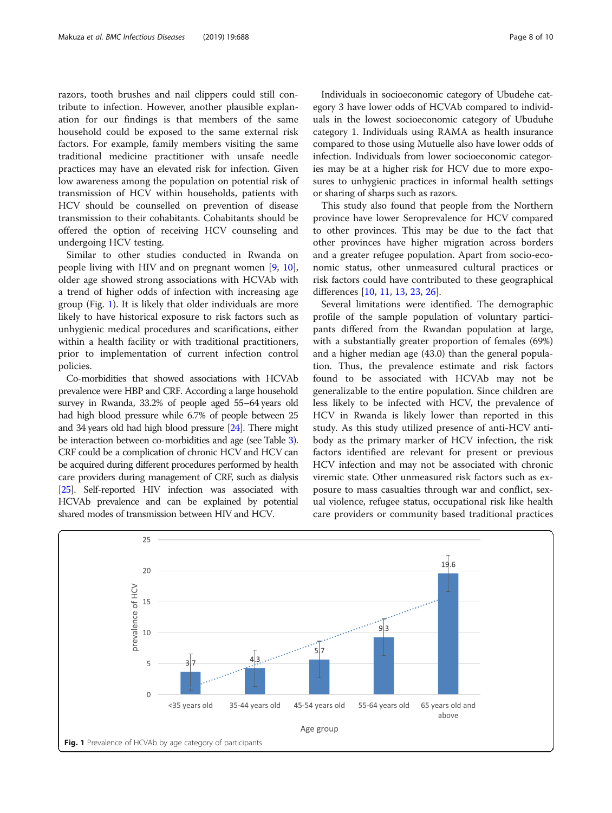razors, tooth brushes and nail clippers could still contribute to infection. However, another plausible explanation for our findings is that members of the same household could be exposed to the same external risk factors. For example, family members visiting the same traditional medicine practitioner with unsafe needle practices may have an elevated risk for infection. Given low awareness among the population on potential risk of transmission of HCV within households, patients with HCV should be counselled on prevention of disease transmission to their cohabitants. Cohabitants should be offered the option of receiving HCV counseling and undergoing HCV testing.

Similar to other studies conducted in Rwanda on people living with HIV and on pregnant women [[9,](#page-9-0) [10](#page-9-0)], older age showed strong associations with HCVAb with a trend of higher odds of infection with increasing age group (Fig. 1). It is likely that older individuals are more likely to have historical exposure to risk factors such as unhygienic medical procedures and scarifications, either within a health facility or with traditional practitioners, prior to implementation of current infection control policies.

Co-morbidities that showed associations with HCVAb prevalence were HBP and CRF. According a large household survey in Rwanda, 33.2% of people aged 55–64 years old had high blood pressure while 6.7% of people between 25 and 34 years old had high blood pressure [\[24](#page-9-0)]. There might be interaction between co-morbidities and age (see Table [3\)](#page-5-0). CRF could be a complication of chronic HCV and HCV can be acquired during different procedures performed by health care providers during management of CRF, such as dialysis [[25\]](#page-9-0). Self-reported HIV infection was associated with HCVAb prevalence and can be explained by potential shared modes of transmission between HIV and HCV.

Individuals in socioeconomic category of Ubudehe category 3 have lower odds of HCVAb compared to individuals in the lowest socioeconomic category of Ubuduhe category 1. Individuals using RAMA as health insurance compared to those using Mutuelle also have lower odds of infection. Individuals from lower socioeconomic categories may be at a higher risk for HCV due to more exposures to unhygienic practices in informal health settings or sharing of sharps such as razors.

This study also found that people from the Northern province have lower Seroprevalence for HCV compared to other provinces. This may be due to the fact that other provinces have higher migration across borders and a greater refugee population. Apart from socio-economic status, other unmeasured cultural practices or risk factors could have contributed to these geographical differences [[10,](#page-9-0) [11,](#page-9-0) [13](#page-9-0), [23](#page-9-0), [26](#page-9-0)].

Several limitations were identified. The demographic profile of the sample population of voluntary participants differed from the Rwandan population at large, with a substantially greater proportion of females (69%) and a higher median age (43.0) than the general population. Thus, the prevalence estimate and risk factors found to be associated with HCVAb may not be generalizable to the entire population. Since children are less likely to be infected with HCV, the prevalence of HCV in Rwanda is likely lower than reported in this study. As this study utilized presence of anti-HCV antibody as the primary marker of HCV infection, the risk factors identified are relevant for present or previous HCV infection and may not be associated with chronic viremic state. Other unmeasured risk factors such as exposure to mass casualties through war and conflict, sexual violence, refugee status, occupational risk like health care providers or community based traditional practices

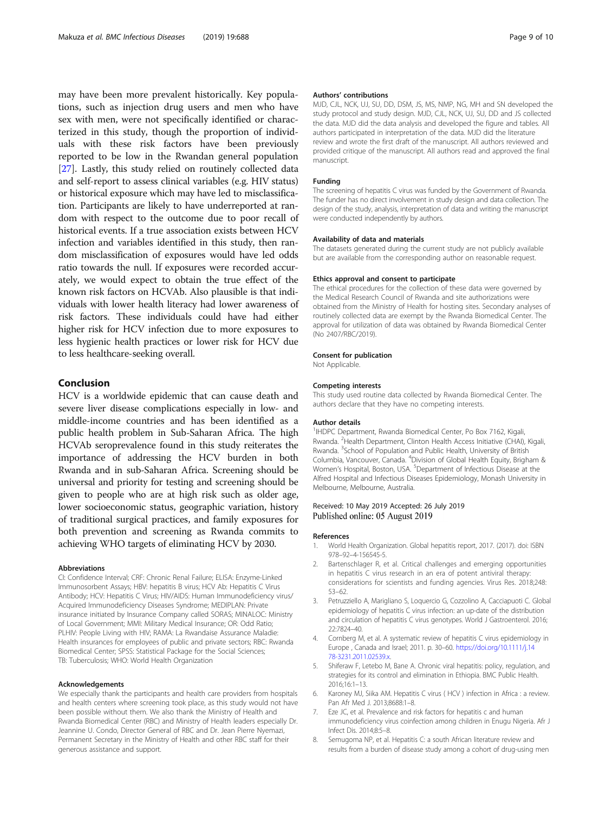<span id="page-8-0"></span>may have been more prevalent historically. Key populations, such as injection drug users and men who have sex with men, were not specifically identified or characterized in this study, though the proportion of individuals with these risk factors have been previously reported to be low in the Rwandan general population [[27\]](#page-9-0). Lastly, this study relied on routinely collected data and self-report to assess clinical variables (e.g. HIV status) or historical exposure which may have led to misclassification. Participants are likely to have underreported at random with respect to the outcome due to poor recall of historical events. If a true association exists between HCV infection and variables identified in this study, then random misclassification of exposures would have led odds ratio towards the null. If exposures were recorded accurately, we would expect to obtain the true effect of the known risk factors on HCVAb. Also plausible is that individuals with lower health literacy had lower awareness of risk factors. These individuals could have had either higher risk for HCV infection due to more exposures to less hygienic health practices or lower risk for HCV due to less healthcare-seeking overall.

## Conclusion

HCV is a worldwide epidemic that can cause death and severe liver disease complications especially in low- and middle-income countries and has been identified as a public health problem in Sub-Saharan Africa. The high HCVAb seroprevalence found in this study reiterates the importance of addressing the HCV burden in both Rwanda and in sub-Saharan Africa. Screening should be universal and priority for testing and screening should be given to people who are at high risk such as older age, lower socioeconomic status, geographic variation, history of traditional surgical practices, and family exposures for both prevention and screening as Rwanda commits to achieving WHO targets of eliminating HCV by 2030.

#### Abbreviations

CI: Confidence Interval; CRF: Chronic Renal Failure; ELISA: Enzyme-Linked Immunosorbent Assays; HBV: hepatitis B virus; HCV Ab: Hepatitis C Virus Antibody; HCV: Hepatitis C Virus; HIV/AIDS: Human Immunodeficiency virus/ Acquired Immunodeficiency Diseases Syndrome; MEDIPLAN: Private insurance initiated by Insurance Company called SORAS; MINALOC: Ministry of Local Government; MMI: Military Medical Insurance; OR: Odd Ratio; PLHIV: People Living with HIV; RAMA: La Rwandaise Assurance Maladie: Health insurances for employees of public and private sectors; RBC: Rwanda Biomedical Center; SPSS: Statistical Package for the Social Sciences; TB: Tuberculosis; WHO: World Health Organization

#### Acknowledgements

We especially thank the participants and health care providers from hospitals and health centers where screening took place, as this study would not have been possible without them. We also thank the Ministry of Health and Rwanda Biomedical Center (RBC) and Ministry of Health leaders especially Dr. Jeannine U. Condo, Director General of RBC and Dr. Jean Pierre Nyemazi, Permanent Secretary in the Ministry of Health and other RBC staff for their generous assistance and support.

#### Authors' contributions

MJD, CJL, NCK, UJ, SU, DD, DSM, JS, MS, NMP, NG, MH and SN developed the study protocol and study design. MJD, CJL, NCK, UJ, SU, DD and JS collected the data. MJD did the data analysis and developed the figure and tables. All authors participated in interpretation of the data. MJD did the literature review and wrote the first draft of the manuscript. All authors reviewed and provided critique of the manuscript. All authors read and approved the final manuscript.

#### Funding

The screening of hepatitis C virus was funded by the Government of Rwanda. The funder has no direct involvement in study design and data collection. The design of the study, analysis, interpretation of data and writing the manuscript were conducted independently by authors.

#### Availability of data and materials

The datasets generated during the current study are not publicly available but are available from the corresponding author on reasonable request.

#### Ethics approval and consent to participate

The ethical procedures for the collection of these data were governed by the Medical Research Council of Rwanda and site authorizations were obtained from the Ministry of Health for hosting sites. Secondary analyses of routinely collected data are exempt by the Rwanda Biomedical Center. The approval for utilization of data was obtained by Rwanda Biomedical Center (No 2407/RBC/2019).

#### Consent for publication

Not Applicable.

#### Competing interests

This study used routine data collected by Rwanda Biomedical Center. The authors declare that they have no competing interests.

#### Author details

<sup>1</sup>IHDPC Department, Rwanda Biomedical Center, Po Box 7162, Kigali, Rwanda. <sup>2</sup> Health Department, Clinton Health Access Initiative (CHAI), Kigali, Rwanda. <sup>3</sup>School of Population and Public Health, University of British Columbia, Vancouver, Canada. <sup>4</sup> Division of Global Health Equity, Brigham & Women's Hospital, Boston, USA. <sup>5</sup>Department of Infectious Disease at the Alfred Hospital and Infectious Diseases Epidemiology, Monash University in Melbourne, Melbourne, Australia.

## Received: 10 May 2019 Accepted: 26 July 2019 Published online: 05 August 2019

#### References

- 1. World Health Organization. Global hepatitis report, 2017. (2017). doi: ISBN 978–92–4-156545-5.
- 2. Bartenschlager R, et al. Critical challenges and emerging opportunities in hepatitis C virus research in an era of potent antiviral therapy: considerations for scientists and funding agencies. Virus Res. 2018;248: 53–62.
- 3. Petruzziello A, Marigliano S, Loquercio G, Cozzolino A, Cacciapuoti C. Global epidemiology of hepatitis C virus infection: an up-date of the distribution and circulation of hepatitis C virus genotypes. World J Gastroenterol. 2016; 22:7824–40.
- Cornberg M, et al. A systematic review of hepatitis C virus epidemiology in Europe , Canada and Israel; 2011. p. 30–60. [https://doi.org/10.1111/j.14](https://doi.org/10.1111/j.1478-3231.2011.02539.x) [78-3231.2011.02539.x.](https://doi.org/10.1111/j.1478-3231.2011.02539.x)
- Shiferaw F, Letebo M, Bane A. Chronic viral hepatitis: policy, regulation, and strategies for its control and elimination in Ethiopia. BMC Public Health. 2016;16:1–13.
- 6. Karoney MJ, Siika AM. Hepatitis C virus ( HCV ) infection in Africa : a review. Pan Afr Med J. 2013;8688:1–8.
- 7. Eze JC, et al. Prevalence and risk factors for hepatitis c and human immunodeficiency virus coinfection among children in Enugu Nigeria. Afr J Infect Dis. 2014;8:5–8.
- 8. Semugoma NP, et al. Hepatitis C: a south African literature review and results from a burden of disease study among a cohort of drug-using men